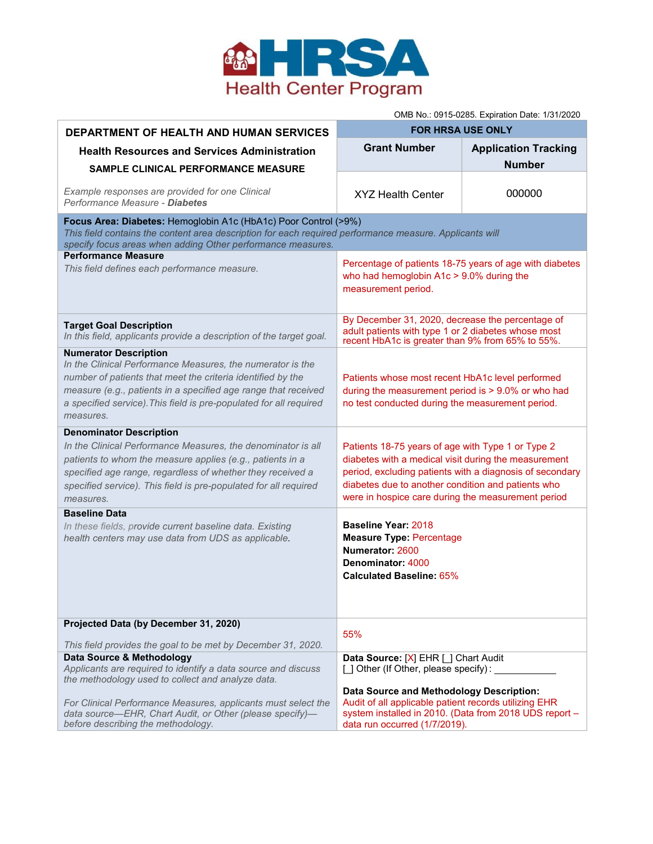

OMB No.: 0915-0285. Expiration Date: 1/31/2020

| <b>DEPARTMENT OF HEALTH AND HUMAN SERVICES</b>                                                                                                                                                                                                                                                                 | <b>FOR HRSA USE ONLY</b>                                                                                                                                                                                                                                                          |                             |
|----------------------------------------------------------------------------------------------------------------------------------------------------------------------------------------------------------------------------------------------------------------------------------------------------------------|-----------------------------------------------------------------------------------------------------------------------------------------------------------------------------------------------------------------------------------------------------------------------------------|-----------------------------|
| <b>Health Resources and Services Administration</b>                                                                                                                                                                                                                                                            | <b>Grant Number</b>                                                                                                                                                                                                                                                               | <b>Application Tracking</b> |
| <b>SAMPLE CLINICAL PERFORMANCE MEASURE</b>                                                                                                                                                                                                                                                                     |                                                                                                                                                                                                                                                                                   | <b>Number</b>               |
| Example responses are provided for one Clinical<br>Performance Measure - Diabetes                                                                                                                                                                                                                              | <b>XYZ Health Center</b>                                                                                                                                                                                                                                                          | 000000                      |
| Focus Area: Diabetes: Hemoglobin A1c (HbA1c) Poor Control (>9%)<br>This field contains the content area description for each required performance measure. Applicants will<br>specify focus areas when adding Other performance measures.                                                                      |                                                                                                                                                                                                                                                                                   |                             |
| <b>Performance Measure</b><br>This field defines each performance measure.                                                                                                                                                                                                                                     | Percentage of patients 18-75 years of age with diabetes<br>who had hemoglobin $A1c > 9.0\%$ during the<br>measurement period.                                                                                                                                                     |                             |
| <b>Target Goal Description</b><br>In this field, applicants provide a description of the target goal.                                                                                                                                                                                                          | By December 31, 2020, decrease the percentage of<br>adult patients with type 1 or 2 diabetes whose most<br>recent HbA1c is greater than 9% from 65% to 55%.                                                                                                                       |                             |
| <b>Numerator Description</b><br>In the Clinical Performance Measures, the numerator is the<br>number of patients that meet the criteria identified by the<br>measure (e.g., patients in a specified age range that received<br>a specified service). This field is pre-populated for all required<br>measures. | Patients whose most recent HbA1c level performed<br>during the measurement period is > 9.0% or who had<br>no test conducted during the measurement period.                                                                                                                        |                             |
| <b>Denominator Description</b><br>In the Clinical Performance Measures, the denominator is all<br>patients to whom the measure applies (e.g., patients in a<br>specified age range, regardless of whether they received a<br>specified service). This field is pre-populated for all required<br>measures.     | Patients 18-75 years of age with Type 1 or Type 2<br>diabetes with a medical visit during the measurement<br>period, excluding patients with a diagnosis of secondary<br>diabetes due to another condition and patients who<br>were in hospice care during the measurement period |                             |
| <b>Baseline Data</b><br>In these fields, provide current baseline data. Existing<br>health centers may use data from UDS as applicable.                                                                                                                                                                        | <b>Baseline Year: 2018</b><br><b>Measure Type: Percentage</b><br>Numerator: 2600<br>Denominator: 4000<br>Calculated Baseline: 65%                                                                                                                                                 |                             |
| Projected Data (by December 31, 2020)<br>This field provides the goal to be met by December 31, 2020.                                                                                                                                                                                                          | 55%                                                                                                                                                                                                                                                                               |                             |
| Data Source & Methodology<br>Applicants are required to identify a data source and discuss<br>the methodology used to collect and analyze data.                                                                                                                                                                | Data Source: [X] EHR [ ] Chart Audit<br>[] Other (If Other, please specify):                                                                                                                                                                                                      |                             |
| For Clinical Performance Measures, applicants must select the<br>data source-EHR, Chart Audit, or Other (please specify)-<br>before describing the methodology.                                                                                                                                                | Data Source and Methodology Description:<br>Audit of all applicable patient records utilizing EHR<br>system installed in 2010. (Data from 2018 UDS report -<br>data run occurred (1/7/2019).                                                                                      |                             |